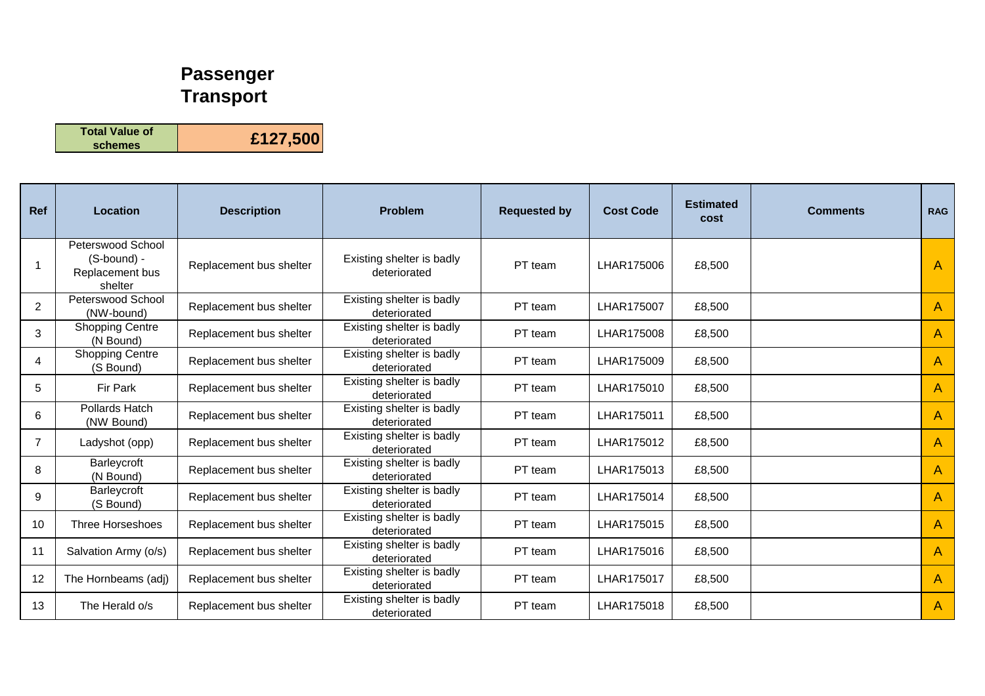## **Passenger Transport**

**Total Value of schemes £127,500**

| <b>Ref</b>     | Location                                                       | <b>Description</b>      | <b>Problem</b>                            | <b>Requested by</b> | <b>Cost Code</b> | <b>Estimated</b><br>cost | <b>Comments</b> | <b>RAG</b>   |
|----------------|----------------------------------------------------------------|-------------------------|-------------------------------------------|---------------------|------------------|--------------------------|-----------------|--------------|
|                | Peterswood School<br>(S-bound) -<br>Replacement bus<br>shelter | Replacement bus shelter | Existing shelter is badly<br>deteriorated | PT team             | LHAR175006       | £8,500                   |                 | $\mathsf{A}$ |
| $\overline{2}$ | Peterswood School<br>(NW-bound)                                | Replacement bus shelter | Existing shelter is badly<br>deteriorated | PT team             | LHAR175007       | £8,500                   |                 | A            |
| 3              | <b>Shopping Centre</b><br>(N Bound)                            | Replacement bus shelter | Existing shelter is badly<br>deteriorated | PT team             | LHAR175008       | £8,500                   |                 | A            |
| 4              | <b>Shopping Centre</b><br>(S Bound)                            | Replacement bus shelter | Existing shelter is badly<br>deteriorated | PT team             | LHAR175009       | £8,500                   |                 | A            |
| 5              | Fir Park                                                       | Replacement bus shelter | Existing shelter is badly<br>deteriorated | PT team             | LHAR175010       | £8,500                   |                 | $\mathsf{A}$ |
| 6              | Pollards Hatch<br>(NW Bound)                                   | Replacement bus shelter | Existing shelter is badly<br>deteriorated | PT team             | LHAR175011       | £8,500                   |                 | $\mathsf{A}$ |
| $\overline{7}$ | Ladyshot (opp)                                                 | Replacement bus shelter | Existing shelter is badly<br>deteriorated | PT team             | LHAR175012       | £8,500                   |                 | A            |
| 8              | Barleycroft<br>(N Bound)                                       | Replacement bus shelter | Existing shelter is badly<br>deteriorated | PT team             | LHAR175013       | £8,500                   |                 | $\mathsf{A}$ |
| 9              | Barleycroft<br>(S Bound)                                       | Replacement bus shelter | Existing shelter is badly<br>deteriorated | PT team             | LHAR175014       | £8,500                   |                 | $\mathsf{A}$ |
| 10             | Three Horseshoes                                               | Replacement bus shelter | Existing shelter is badly<br>deteriorated | PT team             | LHAR175015       | £8,500                   |                 | A            |
| 11             | Salvation Army (o/s)                                           | Replacement bus shelter | Existing shelter is badly<br>deteriorated | PT team             | LHAR175016       | £8,500                   |                 | A            |
| 12             | The Hornbeams (adj)                                            | Replacement bus shelter | Existing shelter is badly<br>deteriorated | PT team             | LHAR175017       | £8,500                   |                 | A            |
| 13             | The Herald o/s                                                 | Replacement bus shelter | Existing shelter is badly<br>deteriorated | PT team             | LHAR175018       | £8,500                   |                 | A            |